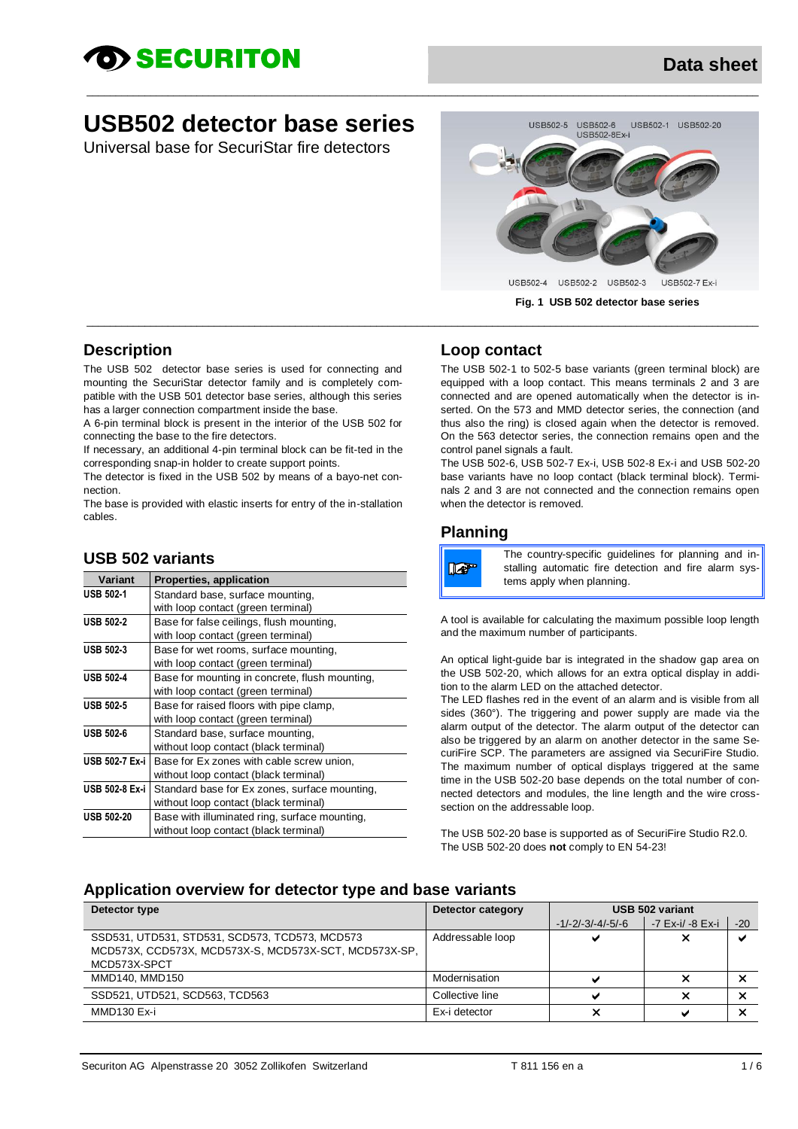# D> SECURITON

## **USB502 detector base series**

Universal base for SecuriStar fire detectors



#### **Description**

The USB 502 detector base series is used for connecting and mounting the SecuriStar detector family and is completely compatible with the USB 501 detector base series, although this series has a larger connection compartment inside the base.

A 6-pin terminal block is present in the interior of the USB 502 for connecting the base to the fire detectors.

If necessary, an additional 4-pin terminal block can be fit-ted in the corresponding snap-in holder to create support points.

The detector is fixed in the USB 502 by means of a bayo-net connection.

The base is provided with elastic inserts for entry of the in-stallation cables.

#### **USB 502 variants**

| Variant           | <b>Properties, application</b>                 |
|-------------------|------------------------------------------------|
| <b>USB 502-1</b>  | Standard base, surface mounting,               |
|                   | with loop contact (green terminal)             |
| <b>USB 502-2</b>  | Base for false ceilings, flush mounting,       |
|                   | with loop contact (green terminal)             |
| <b>USB 502-3</b>  | Base for wet rooms, surface mounting,          |
|                   | with loop contact (green terminal)             |
| <b>USB 502-4</b>  | Base for mounting in concrete, flush mounting, |
|                   | with loop contact (green terminal)             |
| <b>USB 502-5</b>  | Base for raised floors with pipe clamp,        |
|                   | with loop contact (green terminal)             |
| <b>USB 502-6</b>  | Standard base, surface mounting,               |
|                   | without loop contact (black terminal)          |
| USB 502-7 Ex-i    | Base for Ex zones with cable screw union,      |
|                   | without loop contact (black terminal)          |
| USB 502-8 Ex-i    | Standard base for Ex zones, surface mounting,  |
|                   | without loop contact (black terminal)          |
| <b>USB 502-20</b> | Base with illuminated ring, surface mounting,  |
|                   | without loop contact (black terminal)          |

#### **Loop contact**

\_\_\_\_\_\_\_\_\_\_\_\_\_\_\_\_\_\_\_\_\_\_\_\_\_\_\_\_\_\_\_\_\_\_\_\_\_\_\_\_\_\_\_\_\_\_\_\_\_\_\_\_\_\_\_\_\_\_\_\_\_\_\_\_\_\_\_\_\_\_\_\_\_\_\_\_\_\_\_\_\_\_\_\_\_\_\_\_\_\_\_\_\_\_\_\_\_\_\_\_\_\_\_\_\_\_\_\_\_\_\_\_\_\_\_\_

 $\_$  , and the set of the set of the set of the set of the set of the set of the set of the set of the set of the set of the set of the set of the set of the set of the set of the set of the set of the set of the set of th

The USB 502-1 to 502-5 base variants (green terminal block) are equipped with a loop contact. This means terminals 2 and 3 are connected and are opened automatically when the detector is inserted. On the 573 and MMD detector series, the connection (and thus also the ring) is closed again when the detector is removed. On the 563 detector series, the connection remains open and the control panel signals a fault.

The USB 502-6, USB 502-7 Ex-i, USB 502-8 Ex-i and USB 502-20 base variants have no loop contact (black terminal block). Terminals 2 and 3 are not connected and the connection remains open when the detector is removed.

#### **Planning**

Tar

The country-specific guidelines for planning and installing automatic fire detection and fire alarm systems apply when planning.

A tool is available for calculating the maximum possible loop length and the maximum number of participants.

An optical light-guide bar is integrated in the shadow gap area on the USB 502-20, which allows for an extra optical display in addition to the alarm LED on the attached detector.

The LED flashes red in the event of an alarm and is visible from all sides (360°). The triggering and power supply are made via the alarm output of the detector. The alarm output of the detector can also be triggered by an alarm on another detector in the same SecuriFire SCP. The parameters are assigned via SecuriFire Studio. The maximum number of optical displays triggered at the same time in the USB 502-20 base depends on the total number of connected detectors and modules, the line length and the wire crosssection on the addressable loop.

The USB 502-20 base is supported as of SecuriFire Studio R2.0. The USB 502-20 does **not** comply to EN 54-23!

#### **Application overview for detector type and base variants**

| Detector type                                                                                                           | Detector category |                     | USB 502 variant  |                         |
|-------------------------------------------------------------------------------------------------------------------------|-------------------|---------------------|------------------|-------------------------|
|                                                                                                                         |                   | $-1/-2/-3/-4/-5/-6$ | -7 Ex-i/ -8 Ex-i | $-20$                   |
| SSD531, UTD531, STD531, SCD573, TCD573, MCD573<br>MCD573X, CCD573X, MCD573X-S, MCD573X-SCT, MCD573X-SP,<br>MCD573X-SPCT | Addressable loop  | v                   | ×                | $\overline{\mathbf{v}}$ |
| MMD140, MMD150                                                                                                          | Modernisation     |                     |                  |                         |
| SSD521, UTD521, SCD563, TCD563                                                                                          | Collective line   |                     |                  |                         |
| MMD <sub>130</sub> Ex-i                                                                                                 | Ex-i detector     |                     |                  |                         |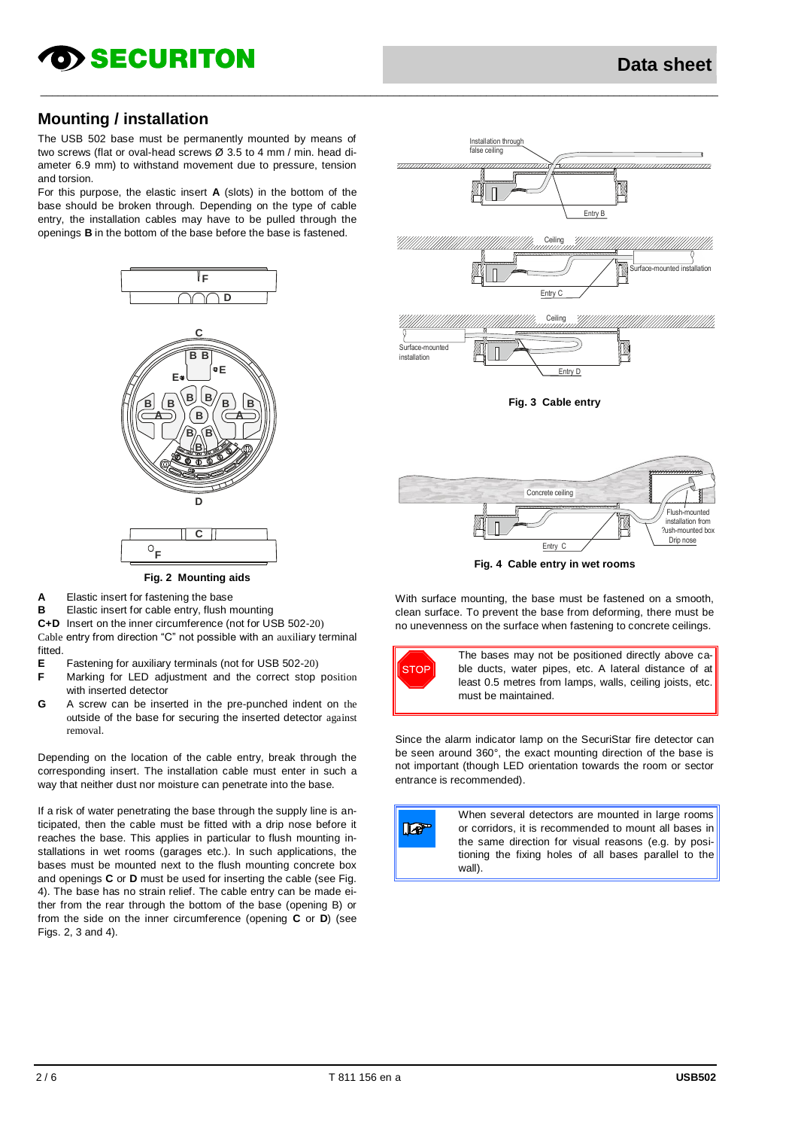## **OD SECURITON**

#### **Mounting / installation**

The USB 502 base must be permanently mounted by means of two screws (flat or oval-head screws Ø 3.5 to 4 mm / min. head diameter 6.9 mm) to withstand movement due to pressure, tension and torsion.

For this purpose, the elastic insert **A** (slots) in the bottom of the base should be broken through. Depending on the type of cable entry, the installation cables may have to be pulled through the openings **B** in the bottom of the base before the base is fastened.



**Fig. 2 Mounting aids**

- **A** Elastic insert for fastening the base
- **B** Elastic insert for cable entry, flush mounting
- **C+D** Insert on the inner circumference (not for USB 502-20)

Cable entry from direction "C" not possible with an auxiliary terminal fitted

- **E** Fastening for auxiliary terminals (not for USB 502-20)
- **F** Marking for LED adjustment and the correct stop position with inserted detector
- **G** A screw can be inserted in the pre-punched indent on the outside of the base for securing the inserted detector against removal.

Depending on the location of the cable entry, break through the corresponding insert. The installation cable must enter in such a way that neither dust nor moisture can penetrate into the base.

If a risk of water penetrating the base through the supply line is anticipated, then the cable must be fitted with a drip nose before it reaches the base. This applies in particular to flush mounting installations in wet rooms (garages etc.). In such applications, the bases must be mounted next to the flush mounting concrete box and openings **C** or **D** must be used for inserting the cable (see Fig. 4). The base has no strain relief. The cable entry can be made either from the rear through the bottom of the base (opening B) or from the side on the inner circumference (opening **C** or **D**) (see Figs. 2, 3 and 4).



**Fig. 4 Cable entry in wet rooms** Entry C

With surface mounting, the base must be fastened on a smooth, clean surface. To prevent the base from deforming, there must be no unevenness on the surface when fastening to concrete ceilings.



Since the alarm indicator lamp on the SecuriStar fire detector can be seen around 360°, the exact mounting direction of the base is not important (though LED orientation towards the room or sector entrance is recommended).



 $\_$  , and the set of the set of the set of the set of the set of the set of the set of the set of the set of the set of the set of the set of the set of the set of the set of the set of the set of the set of the set of th

When several detectors are mounted in large rooms or corridors, it is recommended to mount all bases in the same direction for visual reasons (e.g. by positioning the fixing holes of all bases parallel to the wall).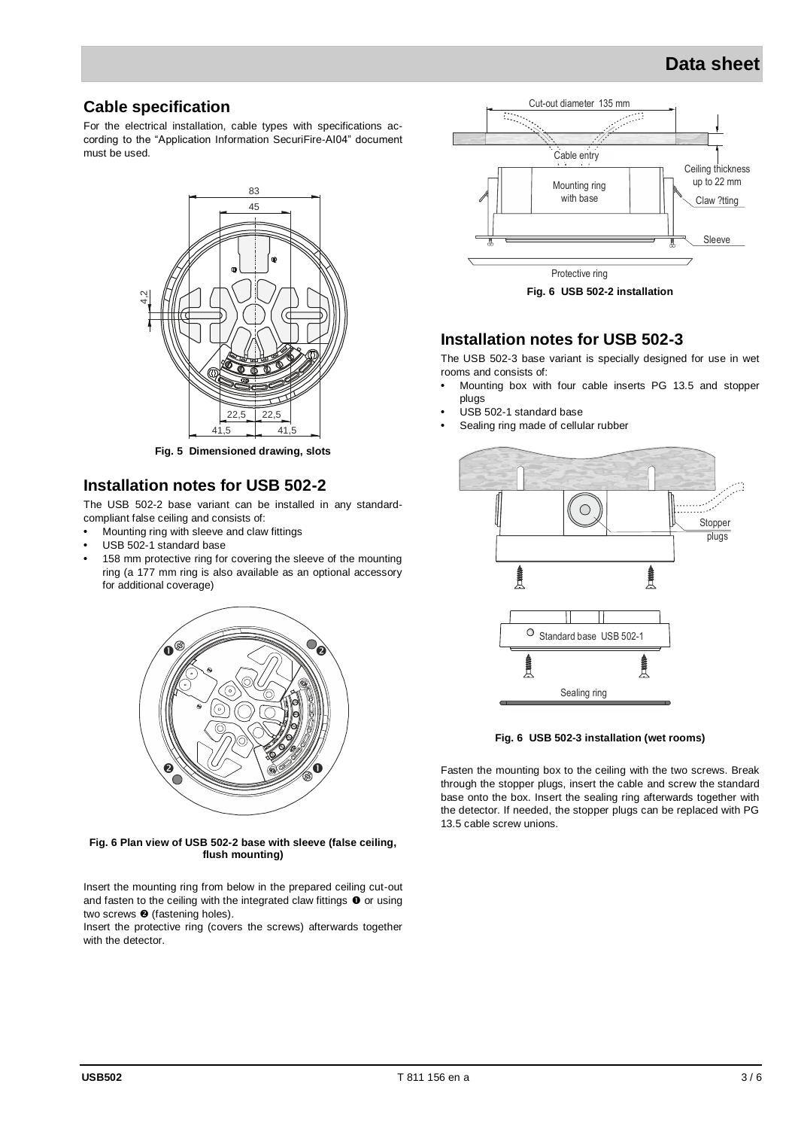## **Data sheet**

#### **Cable specification**

For the electrical installation, cable types with specifications according to the "Application Information SecuriFire-AI04" document must be used.



**Fig. 5 Dimensioned drawing, slots**

#### **Installation notes for USB 502-2**

The USB 502-2 base variant can be installed in any standardcompliant false ceiling and consists of:

- **•** Mounting ring with sleeve and claw fittings
- **•** USB 502-1 standard base
- **•** 158 mm protective ring for covering the sleeve of the mounting ring (a 177 mm ring is also available as an optional accessory for additional coverage)



**Fig. 6 Plan view of USB 502-2 base with sleeve (false ceiling, flush mounting)**

Insert the mounting ring from below in the prepared ceiling cut-out and fasten to the ceiling with the integrated claw fittings  $\bullet$  or using two screws  $\bullet$  (fastening holes).

Insert the protective ring (covers the screws) afterwards together with the detector.



#### **Installation notes for USB 502-3**

The USB 502-3 base variant is specially designed for use in wet rooms and consists of:

- **•** Mounting box with four cable inserts PG 13.5 and stopper plugs
- **•** USB 502-1 standard base
- **•** Sealing ring made of cellular rubber



**Fig. 6 USB 502-3 installation (wet rooms)**

Fasten the mounting box to the ceiling with the two screws. Break through the stopper plugs, insert the cable and screw the standard base onto the box. Insert the sealing ring afterwards together with the detector. If needed, the stopper plugs can be replaced with PG 13.5 cable screw unions.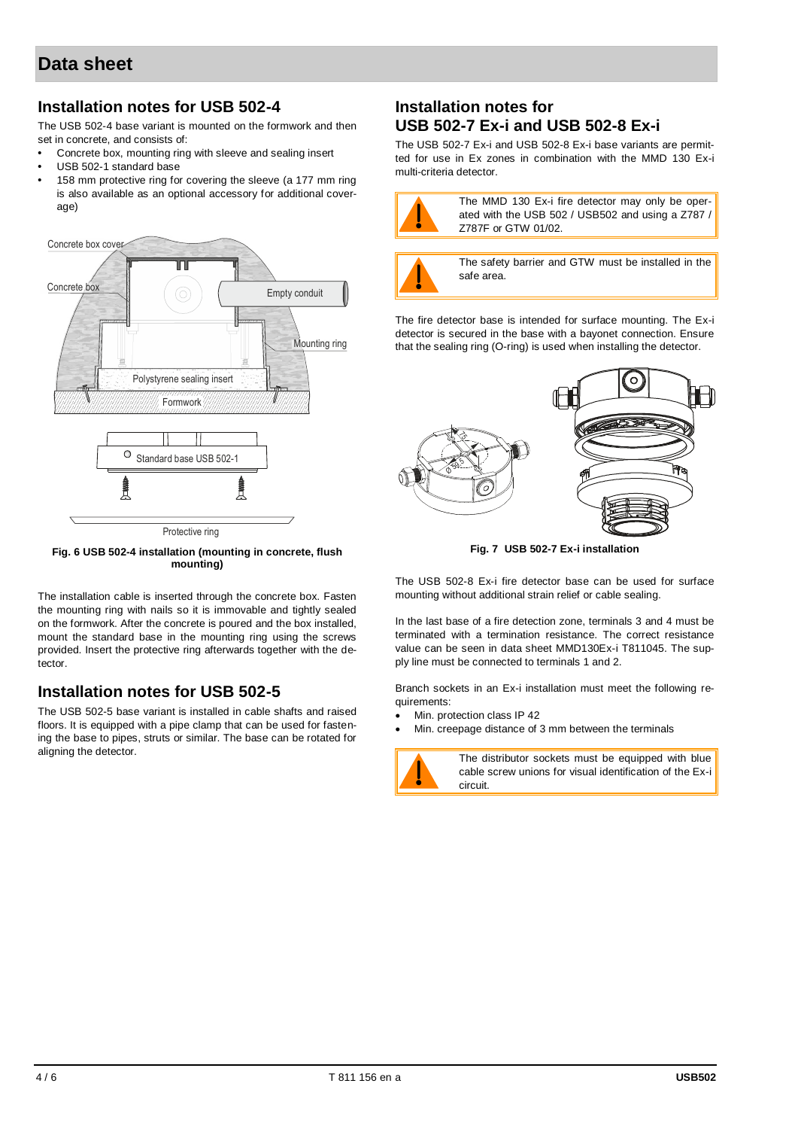#### **Installation notes for USB 502-4**

The USB 502-4 base variant is mounted on the formwork and then set in concrete, and consists of:

- **•** Concrete box, mounting ring with sleeve and sealing insert
- **•** USB 502-1 standard base
- **•** 158 mm protective ring for covering the sleeve (a 177 mm ring is also available as an optional accessory for additional coverage)



**Fig. 6 USB 502-4 installation (mounting in concrete, flush mounting)**

The installation cable is inserted through the concrete box. Fasten the mounting ring with nails so it is immovable and tightly sealed on the formwork. After the concrete is poured and the box installed, mount the standard base in the mounting ring using the screws provided. Insert the protective ring afterwards together with the detector.

#### **Installation notes for USB 502-5**

The USB 502-5 base variant is installed in cable shafts and raised floors. It is equipped with a pipe clamp that can be used for fastening the base to pipes, struts or similar. The base can be rotated for aligning the detector.

#### **Installation notes for USB 502-7 Ex-i and USB 502-8 Ex-i**

The USB 502-7 Ex-i and USB 502-8 Ex-i base variants are permitted for use in Ex zones in combination with the MMD 130 Ex-i multi-criteria detector.



The MMD 130 Ex-i fire detector may only be operated with the USB 502 / USB502 and using a Z787 / Z787F or GTW 01/02.



The safety barrier and GTW must be installed in the safe area.

The fire detector base is intended for surface mounting. The Ex-i detector is secured in the base with a bayonet connection. Ensure that the sealing ring (O-ring) is used when installing the detector.



**Fig. 7 USB 502-7 Ex-i installation** 

The USB 502-8 Ex-i fire detector base can be used for surface mounting without additional strain relief or cable sealing.

In the last base of a fire detection zone, terminals 3 and 4 must be terminated with a termination resistance. The correct resistance value can be seen in data sheet MMD130Ex-i T811045. The supply line must be connected to terminals 1 and 2.

Branch sockets in an Ex-i installation must meet the following requirements:

- Min. protection class IP 42
- Min. creepage distance of 3 mm between the terminals



The distributor sockets must be equipped with blue cable screw unions for visual identification of the Ex-i circuit.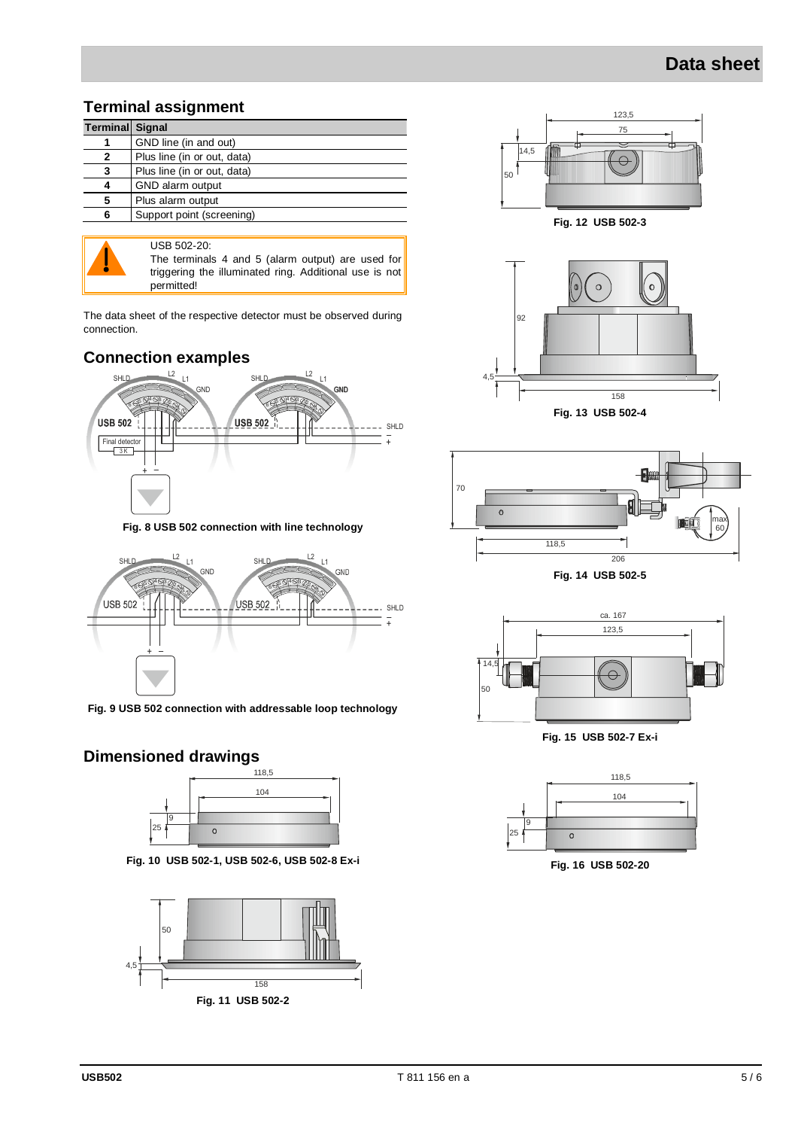## **Data sheet**

#### **Terminal assignment**

| <b>Terminal Signal</b> |                             |
|------------------------|-----------------------------|
|                        | GND line (in and out)       |
|                        | Plus line (in or out, data) |
| 3                      | Plus line (in or out, data) |
|                        | GND alarm output            |
| 5                      | Plus alarm output           |
| Բ                      | Support point (screening)   |



USB 502-20: The terminals 4 and 5 (alarm output) are used for triggering the illuminated ring. Additional use is not permitted!

The data sheet of the respective detector must be observed during connection.

#### **Connection examples**



**Fig. 8 USB 502 connection with line technology**



**Fig. 9 USB 502 connection with addressable loop technology**

### **Dimensioned drawings**



**Fig. 10 USB 502-1, USB 502-6, USB 502-8 Ex-i**





**Fig. 12 USB 502-3**



**Fig. 13 USB 502-4**



**Fig. 14 USB 502-5**



**Fig. 15 USB 502-7 Ex-i**



**Fig. 16 USB 502-20**